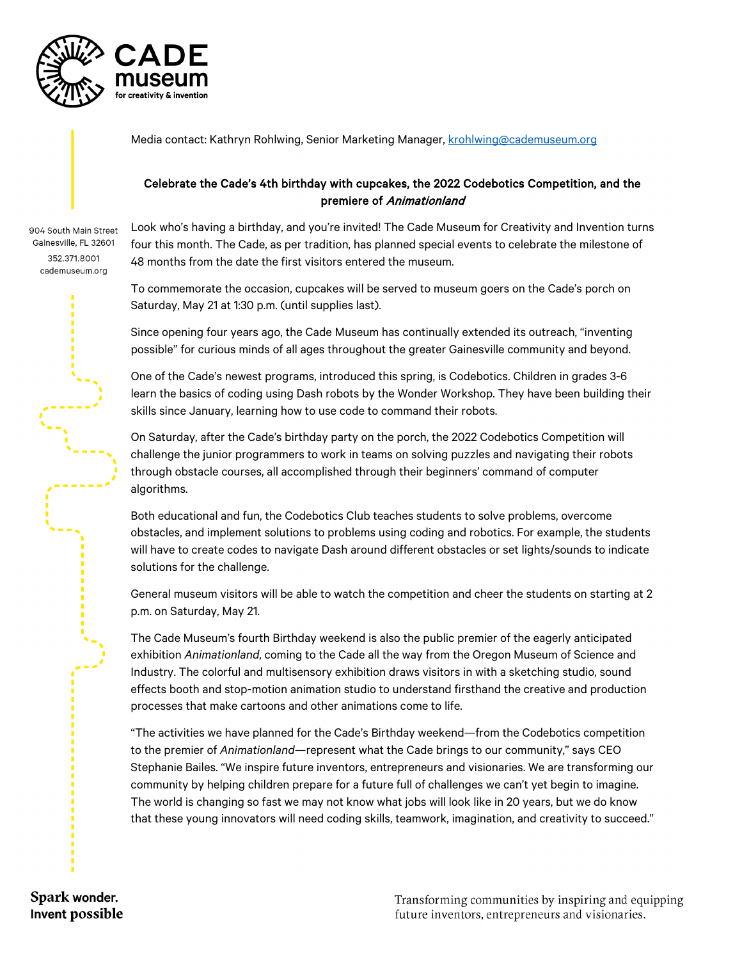

Media contact: Kathryn Rohlwing, Senior Marketing Manager, [krohlwing@cademuseum.org](mailto:krohlwing@cademuseum.org)

## Celebrate the Cade's 4th birthday with cupcakes, the 2022 Codebotics Competition, and the premiere of Animationland

904 South Main Street Gainesville, FL 32601 352.371.8001 cademuseum.org

Look who's having a birthday, and you're invited! The Cade Museum for Creativity and Invention turns four this month. The Cade, as per tradition, has planned special events to celebrate the milestone of 48 months from the date the first visitors entered the museum.

To commemorate the occasion, cupcakes will be served to museum goers on the Cade's porch on Saturday, May 21 at 1:30 p.m. (until supplies last).

Since opening four years ago, the Cade Museum has continually extended its outreach, "inventing possible" for curious minds of all ages throughout the greater Gainesville community and beyond.

One of the Cade's newest programs, introduced this spring, is Codebotics. Children in grades 3-6 learn the basics of coding using Dash robots by the Wonder Workshop. They have been building their skills since January, learning how to use code to command their robots.

On Saturday, after the Cade's birthday party on the porch, the 2022 Codebotics Competition will challenge the junior programmers to work in teams on solving puzzles and navigating their robots through obstacle courses, all accomplished through their beginners' command of computer algorithms.

Both educational and fun, the Codebotics Club teaches students to solve problems, overcome obstacles, and implement solutions to problems using coding and robotics. For example, the students will have to create codes to navigate Dash around different obstacles or set lights/sounds to indicate solutions for the challenge.

General museum visitors will be able to watch the competition and cheer the students on starting at 2 p.m. on Saturday, May 21.

The Cade Museum's fourth Birthday weekend is also the public premier of the eagerly anticipated exhibition *Animationland*, coming to the Cade all the way from the Oregon Museum of Science and Industry. The colorful and multisensory exhibition draws visitors in with a sketching studio, sound effects booth and stop-motion animation studio to understand firsthand the creative and production processes that make cartoons and other animations come to life.

"The activities we have planned for the Cade's Birthday weekend—from the Codebotics competition to the premier of *Animationland*—represent what the Cade brings to our community," says CEO Stephanie Bailes. "We inspire future inventors, entrepreneurs and visionaries. We are transforming our community by helping children prepare for a future full of challenges we can't yet begin to imagine. The world is changing so fast we may not know what jobs will look like in 20 years, but we do know that these young innovators will need coding skills, teamwork, imagination, and creativity to succeed."